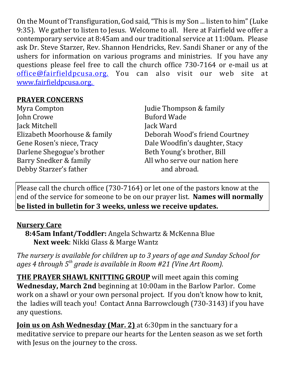On the Mount of Transfiguration, God said, "This is my Son ... listen to him" (Luke 9:35). We gather to listen to Jesus. Welcome to all. Here at Fairfield we offer a contemporary service at 8:45am and our traditional service at 11:00am. Please ask Dr. Steve Starzer, Rev. Shannon Hendricks, Rev. Sandi Shaner or any of the ushers for information on various programs and ministries. If you have any questions please feel free to call the church office 730-7164 or e-mail us at office@fairfieldpcusa.org. You can also visit our web site at www.fairfieldpcusa.org.

## **PRAYER CONCERNS**

Myra Compton John Crowe Jack Mitchell Elizabeth Moorhouse & family Gene Rosen's niece, Tracy Darlene Shegogue's brother Barry Snedker & family Debby Starzer's father

Judie Thompson & family Buford Wade Jack Ward Deborah Wood's friend Courtney Dale Woodfin's daughter, Stacy Beth Young's brother, Bill All who serve our nation here and abroad.

Please call the church office (730-7164) or let one of the pastors know at the end of the service for someone to be on our prayer list. **Names will normally be listed in bulletin for 3 weeks, unless we receive updates.**

## **Nursery Care**

**8:45am Infant/Toddler:** Angela Schwartz & McKenna Blue **Next week**: Nikki Glass & Marge Wantz

*The nursery is available for children up to 3 years of age and Sunday School for ages 4 through 5th grade is available in Room #21 (Vine Art Room).*

**THE PRAYER SHAWL KNITTING GROUP** will meet again this coming **Wednesday, March 2nd** beginning at 10:00am in the Barlow Parlor. Come work on a shawl or your own personal project. If you don't know how to knit, the ladies will teach you! Contact Anna Barrowclough (730-3143) if you have any questions.

**Join us on Ash Wednesday (Mar. 2)** at 6:30pm in the sanctuary for a meditative service to prepare our hearts for the Lenten season as we set forth with Jesus on the journey to the cross.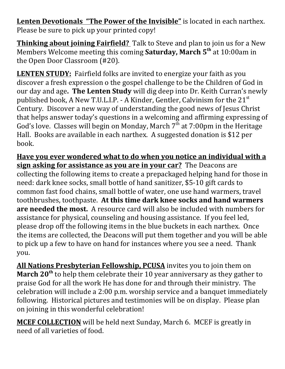**Lenten Devotionals "The Power of the Invisible"** is located in each narthex. Please be sure to pick up your printed copy!

**Thinking about joining Fairfield?** Talk to Steve and plan to join us for a New Members Welcome meeting this coming **Saturday, March 5th** at 10:00am in the Open Door Classroom (#20).

**LENTEN STUDY:** Fairfield folks are invited to energize your faith as you discover a fresh expression o the gospel challenge to be the Children of God in our day and age**. The Lenten Study** will dig deep into Dr. Keith Curran's newly published book, A New T.U.L.I.P. - A Kinder, Gentler, Calvinism for the  $21<sup>st</sup>$ Century. Discover a new way of understanding the good news of Jesus Christ that helps answer today's questions in a welcoming and affirming expressing of God's love. Classes will begin on Monday, March  $7<sup>th</sup>$  at 7:00pm in the Heritage Hall. Books are available in each narthex. A suggested donation is \$12 per book.

**Have you ever wondered what to do when you notice an individual with a sign asking for assistance as you are in your car?** The Deacons are collecting the following items to create a prepackaged helping hand for those in need: dark knee socks, small bottle of hand sanitizer, \$5-10 gift cards to common fast food chains, small bottle of water, one use hand warmers, travel toothbrushes, toothpaste. **At this time dark knee socks and hand warmers are needed the most.** A resource card will also be included with numbers for assistance for physical, counseling and housing assistance. If you feel led, please drop off the following items in the blue buckets in each narthex. Once the items are collected, the Deacons will put them together and you will be able to pick up a few to have on hand for instances where you see a need. Thank you.

**All Nations Presbyterian Fellowship, PCUSA** invites you to join them on **March 20th** to help them celebrate their 10 year anniversary as they gather to praise God for all the work He has done for and through their ministry. The celebration will include a 2:00 p.m. worship service and a banquet immediately following. Historical pictures and testimonies will be on display. Please plan on joining in this wonderful celebration!

**MCEF COLLECTION** will be held next Sunday, March 6. MCEF is greatly in need of all varieties of food.